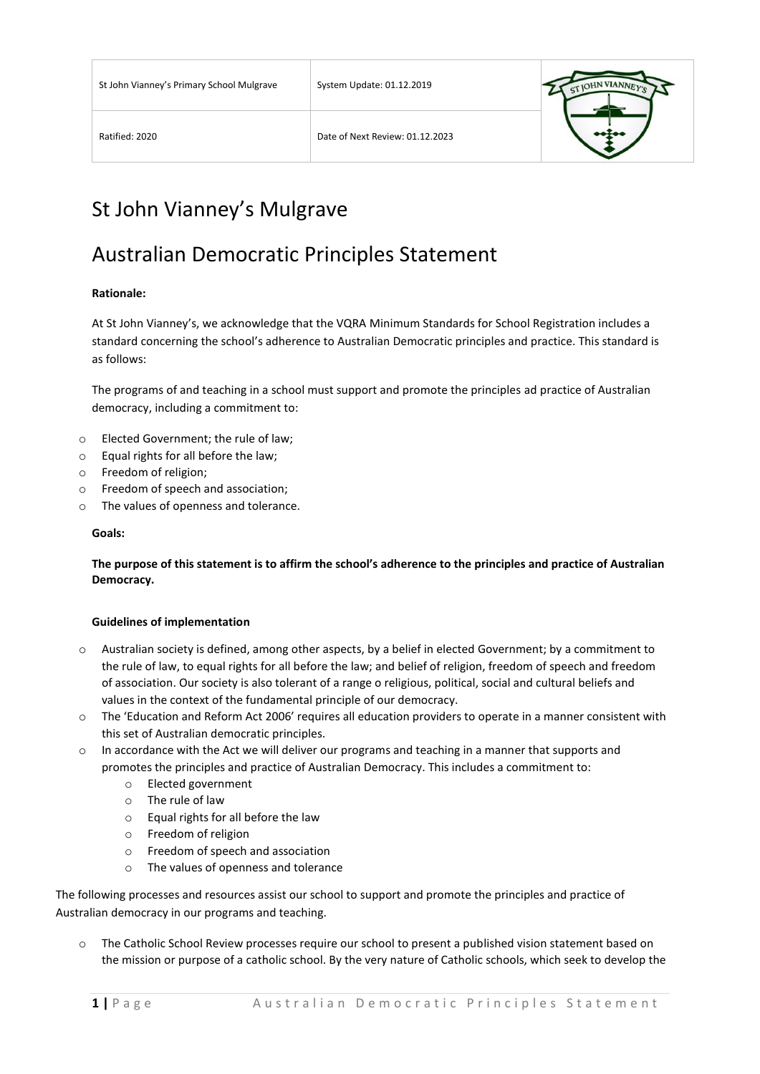

# St John Vianney's Mulgrave

### Australian Democratic Principles Statement

#### **Rationale:**

At St John Vianney's, we acknowledge that the VQRA Minimum Standards for School Registration includes a standard concerning the school's adherence to Australian Democratic principles and practice. This standard is as follows:

The programs of and teaching in a school must support and promote the principles ad practice of Australian democracy, including a commitment to:

- o Elected Government; the rule of law;
- o Equal rights for all before the law;
- o Freedom of religion;
- o Freedom of speech and association;
- o The values of openness and tolerance.

#### **Goals:**

**The purpose of this statement is to affirm the school's adherence to the principles and practice of Australian Democracy.**

#### **Guidelines of implementation**

- o Australian society is defined, among other aspects, by a belief in elected Government; by a commitment to the rule of law, to equal rights for all before the law; and belief of religion, freedom of speech and freedom of association. Our society is also tolerant of a range o religious, political, social and cultural beliefs and values in the context of the fundamental principle of our democracy.
- o The 'Education and Reform Act 2006' requires all education providers to operate in a manner consistent with this set of Australian democratic principles.
- $\circ$  In accordance with the Act we will deliver our programs and teaching in a manner that supports and promotes the principles and practice of Australian Democracy. This includes a commitment to:
	- o Elected government
	- o The rule of law
	- o Equal rights for all before the law
	- o Freedom of religion
	- o Freedom of speech and association
	- o The values of openness and tolerance

The following processes and resources assist our school to support and promote the principles and practice of Australian democracy in our programs and teaching.

o The Catholic School Review processes require our school to present a published vision statement based on the mission or purpose of a catholic school. By the very nature of Catholic schools, which seek to develop the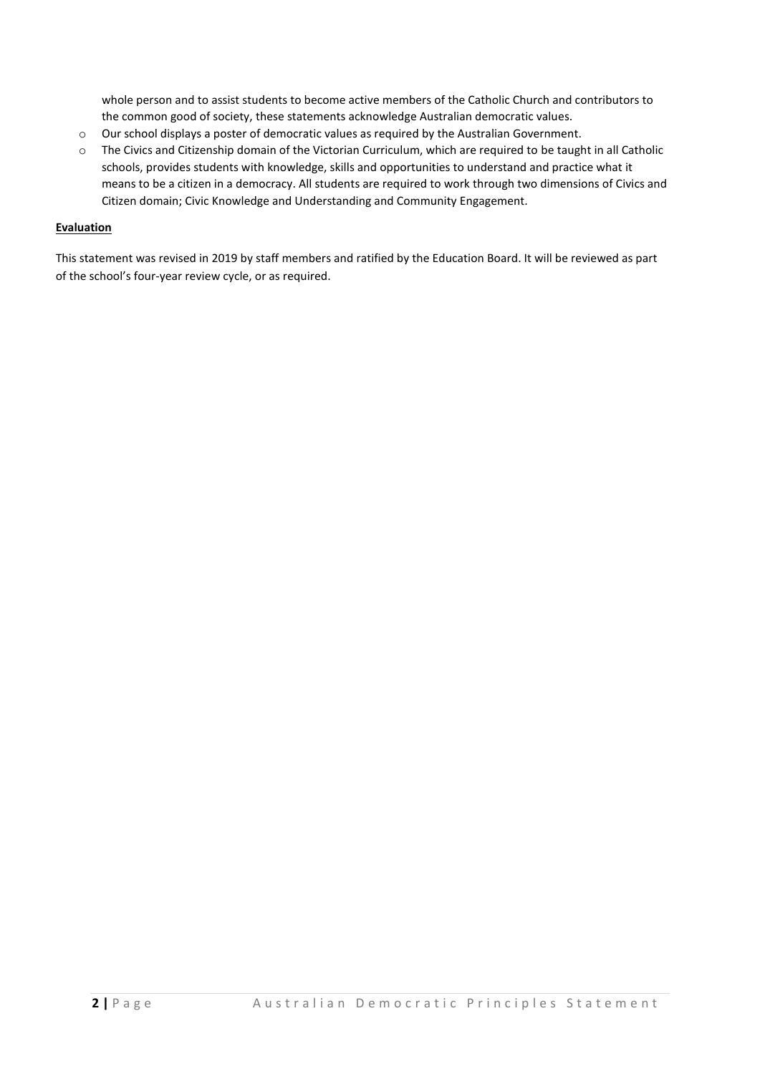whole person and to assist students to become active members of the Catholic Church and contributors to the common good of society, these statements acknowledge Australian democratic values.

- o Our school displays a poster of democratic values as required by the Australian Government.
- $\circ$  The Civics and Citizenship domain of the Victorian Curriculum, which are required to be taught in all Catholic schools, provides students with knowledge, skills and opportunities to understand and practice what it means to be a citizen in a democracy. All students are required to work through two dimensions of Civics and Citizen domain; Civic Knowledge and Understanding and Community Engagement.

#### **Evaluation**

This statement was revised in 2019 by staff members and ratified by the Education Board. It will be reviewed as part of the school's four-year review cycle, or as required.